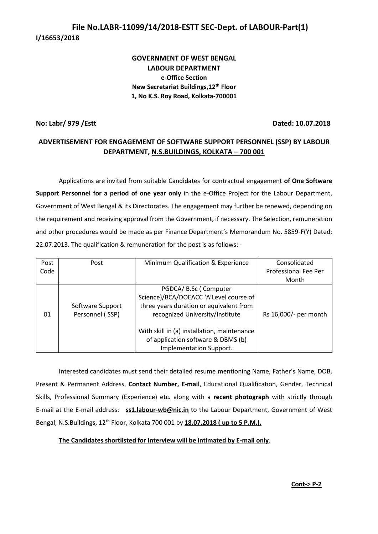# **File No.LABR-11099/14/2018-ESTT SEC-Dept. of LABOUR-Part(1) I/16653/2018**

# **GOVERNMENT OF WEST BENGAL LABOUR DEPARTMENT e-Office Section New Secretariat Buildings,12th Floor 1, No K.S. Roy Road, Kolkata-700001**

### **No: Labr/ 979 /Estt Dated: 10.07.2018**

# **ADVERTISEMENT FOR ENGAGEMENT OF SOFTWARE SUPPORT PERSONNEL (SSP) BY LABOUR DEPARTMENT, N.S.BUILDINGS, KOLKATA – 700 001**

Applications are invited from suitable Candidates for contractual engagement **of One Software Support Personnel for a period of one year only** in the e-Office Project for the Labour Department, Government of West Bengal & its Directorates. The engagement may further be renewed, depending on the requirement and receiving approval from the Government, if necessary. The Selection, remuneration and other procedures would be made as per Finance Department's Memorandum No. 5859-F(Y) Dated: 22.07.2013. The qualification & remuneration for the post is as follows: -

| Post | Post                                | Minimum Qualification & Experience                                                                                                                                                                                                 | Consolidated          |
|------|-------------------------------------|------------------------------------------------------------------------------------------------------------------------------------------------------------------------------------------------------------------------------------|-----------------------|
| Code |                                     |                                                                                                                                                                                                                                    | Professional Fee Per  |
|      |                                     |                                                                                                                                                                                                                                    | Month                 |
| 01   | Software Support<br>Personnel (SSP) | PGDCA/ B.Sc (Computer<br>Science)/BCA/DOEACC 'A'Level course of<br>three years duration or equivalent from<br>recognized University/Institute<br>With skill in (a) installation, maintenance<br>of application software & DBMS (b) | Rs 16,000/- per month |
|      |                                     | Implementation Support.                                                                                                                                                                                                            |                       |

Interested candidates must send their detailed resume mentioning Name, Father's Name, DOB, Present & Permanent Address, **Contact Number, E-mail**, Educational Qualification, Gender, Technical Skills, Professional Summary (Experience) etc. along with a **recent photograph** with strictly through E-mail at the E-mail address: **ss1.labour-wb@nic.in** to the Labour Department, Government of West Bengal, N.S.Buildings, 12th Floor, Kolkata 700 001 by **18.07.2018 ( up to 5 P.M.).**

### **The Candidates shortlisted for Interview will be intimated by E-mail only**.